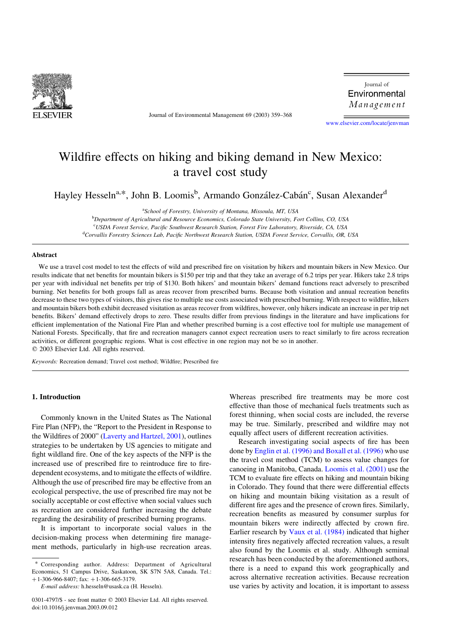

Journal of Environmental Management 69 (2003) 359–368

Journal of Environmental Management

[www.elsevier.com/locate/jenvman](http://www.elsevier.com/locate/jenvman)

# Wildfire effects on hiking and biking demand in New Mexico: a travel cost study

Hayley Hesseln<sup>a,\*</sup>, John B. Loomis<sup>b</sup>, Armando González-Cabán<sup>c</sup>, Susan Alexander<sup>d</sup>

<sup>a</sup>School of Forestry, University of Montana, Missoula, MT, USA

<sup>b</sup>Department of Agricultural and Resource Economics, Colorado State University, Fort Collins, CO, USA CUSDA Forest Service, Pacific Southwest Research Station, Forest Fire Laboratory, Riverside, CA, USA <sup>d</sup>Corvallis Forestry Sciences Lab, Pacific Northwest Research Station, USDA Forest Service, Corvallis, OR, USA

### Abstract

We use a travel cost model to test the effects of wild and prescribed fire on visitation by hikers and mountain bikers in New Mexico. Our results indicate that net benefits for mountain bikers is \$150 per trip and that they take an average of 6.2 trips per year. Hikers take 2.8 trips per year with individual net benefits per trip of \$130. Both hikers' and mountain bikers' demand functions react adversely to prescribed burning. Net benefits for both groups fall as areas recover from prescribed burns. Because both visitation and annual recreation benefits decrease to these two types of visitors, this gives rise to multiple use costs associated with prescribed burning. With respect to wildfire, hikers and mountain bikers both exhibit decreased visitation as areas recover from wildfires, however, only hikers indicate an increase in per trip net benefits. Bikers' demand effectively drops to zero. These results differ from previous findings in the literature and have implications for efficient implementation of the National Fire Plan and whether prescribed burning is a cost effective tool for multiple use management of National Forests. Specifically, that fire and recreation managers cannot expect recreation users to react similarly to fire across recreation activities, or different geographic regions. What is cost effective in one region may not be so in another.  $©$  2003 Elsevier Ltd. All rights reserved.

Keywords: Recreation demand; Travel cost method; Wildfire; Prescribed fire

# 1. Introduction

Commonly known in the United States as The National Fire Plan (NFP), the "Report to the President in Response to the Wildfires of 2000" [\(Laverty and Hartzel, 2001\)](#page-8-0), outlines strategies to be undertaken by US agencies to mitigate and fight wildland fire. One of the key aspects of the NFP is the increased use of prescribed fire to reintroduce fire to firedependent ecosystems, and to mitigate the effects of wildfire. Although the use of prescribed fire may be effective from an ecological perspective, the use of prescribed fire may not be socially acceptable or cost effective when social values such as recreation are considered further increasing the debate regarding the desirability of prescribed burning programs.

It is important to incorporate social values in the decision-making process when determining fire management methods, particularly in high-use recreation areas.

Corresponding author. Address: Department of Agricultural Economics, 51 Campus Drive, Saskatoon, SK S7N 5A8, Canada. Tel.:  $+1-306-966-8407$ ; fax:  $+1-306-665-3179$ .

Whereas prescribed fire treatments may be more cost effective than those of mechanical fuels treatments such as forest thinning, when social costs are included, the reverse may be true. Similarly, prescribed and wildfire may not equally affect users of different recreation activities.

Research investigating social aspects of fire has been done by [Englin et al. \(1996\) and Boxall et al. \(1996\)](#page-8-0) who use the travel cost method (TCM) to assess value changes for canoeing in Manitoba, Canada. [Loomis et al. \(2001\)](#page-9-0) use the TCM to evaluate fire effects on hiking and mountain biking in Colorado. They found that there were differential effects on hiking and mountain biking visitation as a result of different fire ages and the presence of crown fires. Similarly, recreation benefits as measured by consumer surplus for mountain bikers were indirectly affected by crown fire. Earlier research by [Vaux et al. \(1984\)](#page-9-0) indicated that higher intensity fires negatively affected recreation values, a result also found by the Loomis et al. study. Although seminal research has been conducted by the aforementioned authors, there is a need to expand this work geographically and across alternative recreation activities. Because recreation use varies by activity and location, it is important to assess

E-mail address: h.hesseln@usask.ca (H. Hesseln).

<sup>0301-4797/\$ -</sup> see front matter © 2003 Elsevier Ltd. All rights reserved. doi:10.1016/j.jenvman.2003.09.012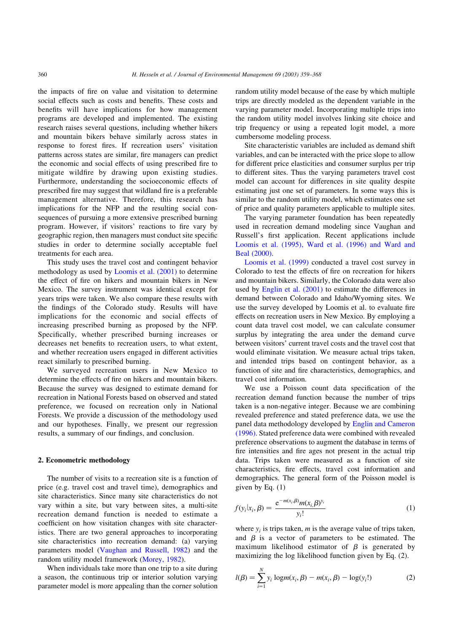the impacts of fire on value and visitation to determine social effects such as costs and benefits. These costs and benefits will have implications for how management programs are developed and implemented. The existing research raises several questions, including whether hikers and mountain bikers behave similarly across states in response to forest fires. If recreation users' visitation patterns across states are similar, fire managers can predict the economic and social effects of using prescribed fire to mitigate wildfire by drawing upon existing studies. Furthermore, understanding the socioeconomic effects of prescribed fire may suggest that wildland fire is a preferable management alternative. Therefore, this research has implications for the NFP and the resulting social consequences of pursuing a more extensive prescribed burning program. However, if visitors' reactions to fire vary by geographic region, then managers must conduct site specific studies in order to determine socially acceptable fuel treatments for each area.

This study uses the travel cost and contingent behavior methodology as used by [Loomis et al. \(2001\)](#page-9-0) to determine the effect of fire on hikers and mountain bikers in New Mexico. The survey instrument was identical except for years trips were taken. We also compare these results with the findings of the Colorado study. Results will have implications for the economic and social effects of increasing prescribed burning as proposed by the NFP. Specifically, whether prescribed burning increases or decreases net benefits to recreation users, to what extent, and whether recreation users engaged in different activities react similarly to prescribed burning.

We surveyed recreation users in New Mexico to determine the effects of fire on hikers and mountain bikers. Because the survey was designed to estimate demand for recreation in National Forests based on observed and stated preference, we focused on recreation only in National Forests. We provide a discussion of the methodology used and our hypotheses. Finally, we present our regression results, a summary of our findings, and conclusion.

# 2. Econometric methodology

The number of visits to a recreation site is a function of price (e.g. travel cost and travel time), demographics and site characteristics. Since many site characteristics do not vary within a site, but vary between sites, a multi-site recreation demand function is needed to estimate a coefficient on how visitation changes with site characteristics. There are two general approaches to incorporating site characteristics into recreation demand: (a) varying parameters model ([Vaughan and Russell, 1982\)](#page-9-0) and the random utility model framework [\(Morey, 1982\)](#page-9-0).

When individuals take more than one trip to a site during a season, the continuous trip or interior solution varying parameter model is more appealing than the corner solution

random utility model because of the ease by which multiple trips are directly modeled as the dependent variable in the varying parameter model. Incorporating multiple trips into the random utility model involves linking site choice and trip frequency or using a repeated logit model, a more cumbersome modeling process.

Site characteristic variables are included as demand shift variables, and can be interacted with the price slope to allow for different price elasticities and consumer surplus per trip to different sites. Thus the varying parameters travel cost model can account for differences in site quality despite estimating just one set of parameters. In some ways this is similar to the random utility model, which estimates one set of price and quality parameters applicable to multiple sites.

The varying parameter foundation has been repeatedly used in recreation demand modeling since Vaughan and Russell's first application. Recent applications include [Loomis et al. \(1995\), Ward et al. \(1996\) and Ward and](#page-8-0) [Beal \(2000\).](#page-8-0)

[Loomis et al. \(1999\)](#page-8-0) conducted a travel cost survey in Colorado to test the effects of fire on recreation for hikers and mountain bikers. Similarly, the Colorado data were also used by [Englin et al. \(2001\)](#page-8-0) to estimate the differences in demand between Colorado and Idaho/Wyoming sites. We use the survey developed by Loomis et al. to evaluate fire effects on recreation users in New Mexico. By employing a count data travel cost model, we can calculate consumer surplus by integrating the area under the demand curve between visitors' current travel costs and the travel cost that would eliminate visitation. We measure actual trips taken, and intended trips based on contingent behavior, as a function of site and fire characteristics, demographics, and travel cost information.

We use a Poisson count data specification of the recreation demand function because the number of trips taken is a non-negative integer. Because we are combining revealed preference and stated preference data, we use the panel data methodology developed by [Englin and Cameron](#page-8-0) [\(1996\)](#page-8-0). Stated preference data were combined with revealed preference observations to augment the database in terms of fire intensities and fire ages not present in the actual trip data. Trips taken were measured as a function of site characteristics, fire effects, travel cost information and demographics. The general form of the Poisson model is given by Eq.  $(1)$ 

$$
f(y_i|x_i, \beta) = \frac{e^{-m(x_i, \beta)}m(x_i, \beta)^{y_i}}{y_i!}
$$
 (1)

where  $y_i$  is trips taken, m is the average value of trips taken, and  $\beta$  is a vector of parameters to be estimated. The maximum likelihood estimator of  $\beta$  is generated by maximizing the log likelihood function given by Eq. (2).

$$
l(\beta) = \sum_{i=1}^{N} y_i \log m(x_i, \beta) - m(x_i, \beta) - \log(y_i!) \tag{2}
$$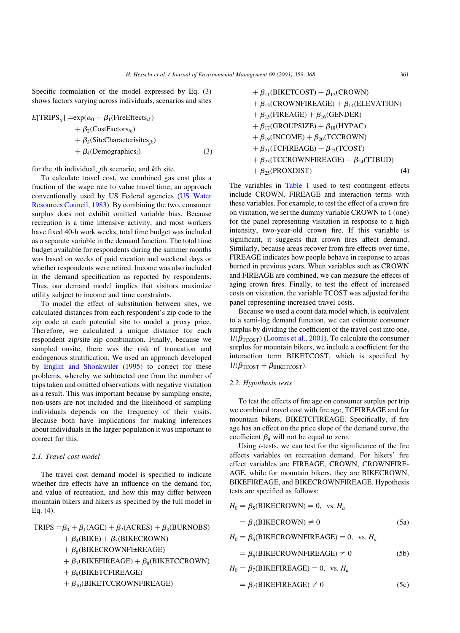Specific formulation of the model expressed by Eq. (3) shows factors varying across individuals, scenarios and sites

$$
E[\text{TRIPS}_{ij}] = \exp(\alpha_0 + \beta_1(\text{FireEffects}_{ik}) + \beta_2(\text{CostFactors}_{ik}) + \beta_3(\text{SiteCharacteristics}_{jk}) + \beta_4(\text{Demographies}_{i})
$$
\n(3)

for the ith individual, jth scenario, and kth site.

To calculate travel cost, we combined gas cost plus a fraction of the wage rate to value travel time, an approach conventionally used by US Federal agencies ([US Water](#page-9-0) [Resources Council, 1983](#page-9-0)). By combining the two, consumer surplus does not exhibit omitted variable bias. Because recreation is a time intensive activity, and most workers have fixed 40-h work weeks, total time budget was included as a separate variable in the demand function. The total time budget available for respondents during the summer months was based on weeks of paid vacation and weekend days or whether respondents were retired. Income was also included in the demand specification as reported by respondents. Thus, our demand model implies that visitors maximize utility subject to income and time constraints.

To model the effect of substitution between sites, we calculated distances from each respondent's zip code to the zip code at each potential site to model a proxy price. Therefore, we calculated a unique distance for each respondent zip/site zip combination. Finally, because we sampled onsite, there was the risk of truncation and endogenous stratification. We used an approach developed by [Englin and Shonkwiler \(1995\)](#page-8-0) to correct for these problems, whereby we subtracted one from the number of trips taken and omitted observations with negative visitation as a result. This was important because by sampling onsite, non-users are not included and the likelihood of sampling individuals depends on the frequency of their visits. Because both have implications for making inferences about individuals in the larger population it was important to correct for this.

# 2.1. Travel cost model

The travel cost demand model is specified to indicate whether fire effects have an influence on the demand for, and value of recreation, and how this may differ between mountain bikers and hikers as specified by the full model in Eq. (4).

TRIPS = 
$$
\beta_0 + \beta_1 (AGE) + \beta_2 (ACES) + \beta_3 (BURNOBS)
$$

 $+ \beta_4$ (BIKE) +  $\beta_5$ (BIKECROWN)

- $+ \beta$ <sub>6</sub>(BIKECROWNFI±REAGE)
- +  $\beta_7$ (BIKEFIREAGE) +  $\beta_8$ (BIKETCCROWN)

 $+ \beta$ <sub>9</sub>(BIKETCFIREAGE)

 $+ \beta_{10}$ (BIKETCCROWNFIREAGE)

+ 
$$
\beta_{11}
$$
(BIKETCOST) +  $\beta_{12}$ (CROWN)  
+  $\beta_{13}$ (CROWNFIREAGE) +  $\beta_{14}$ (ELEVATION)  
+  $\beta_{15}$ (FIREAGE) +  $\beta_{16}$ (GENDER)  
+  $\beta_{17}$ (GROUPSIZE) +  $\beta_{18}$ (HYPAC)  
+  $\beta_{19}$ (INCOME) +  $\beta_{20}$ (TCCROWN)  
+  $\beta_{21}$ (TCFIREAGE) +  $\beta_{22}$ (TCOST)  
+  $\beta_{23}$ (TCCROWNFIREAGE) +  $\beta_{24}$ (TFBUD)  
+  $\beta_{25}$ (PROXDIST) (4)

The variables in [Table 1](#page-3-0) used to test contingent effects include CROWN, FIREAGE and interaction terms with these variables. For example, to test the effect of a crown fire on visitation, we set the dummy variable CROWN to 1 (one) for the panel representing visitation in response to a high intensity, two-year-old crown fire. If this variable is significant, it suggests that crown fires affect demand. Similarly, because areas recover from fire effects over time, FIREAGE indicates how people behave in response to areas burned in previous years. When variables such as CROWN and FIREAGE are combined, we can measure the effects of aging crown fires. Finally, to test the effect of increased costs on visitation, the variable TCOST was adjusted for the panel representing increased travel costs.

Because we used a count data model which, is equivalent to a semi-log demand function, we can estimate consumer surplus by dividing the coefficient of the travel cost into one,  $1/(\beta_{\text{TCOST}})$  [\(Loomis et al., 2001](#page-9-0)). To calculate the consumer surplus for mountain bikers, we include a coefficient for the interaction term BIKETCOST, which is specified by  $1/(\beta_{\text{TCOST}} + \beta_{\text{BIKETCOST}}).$ 

# 2.2. Hypothesis tests

To test the effects of fire age on consumer surplus per trip we combined travel cost with fire age, TCFIREAGE and for mountain bikers, BIKETCFIREAGE. Specifically, if fire age has an effect on the price slope of the demand curve, the coefficient  $\beta_9$  will not be equal to zero.

Using  $t$ -tests, we can test for the significance of the fire effects variables on recreation demand. For hikers' fire effect variables are FIREAGE, CROWN, CROWNFIRE-AGE, while for mountain bikers, they are BIKECROWN, BIKEFIREAGE, and BIKECROWNFIREAGE. Hypothesis tests are specified as follows:

$$
H_0 = \beta_5(\text{BIKECROWN}) = 0, \text{ vs. } H_a
$$

$$
= \beta_5(\text{BIKECROWN}) \neq 0 \tag{5a}
$$

 $H_0 = \beta_6$ (BIKECROWNFIREAGE) = 0, vs.  $H_a$ 

 $= \beta_6$ (BIKECROWNFIREAGE)  $\neq 0$  (5b)

$$
H_0 = \beta_7(BIKEFIREAGE) = 0, \text{ vs. } H_a
$$

$$
= \beta_7(\text{BIKEFIREAGE}) \neq 0 \tag{5c}
$$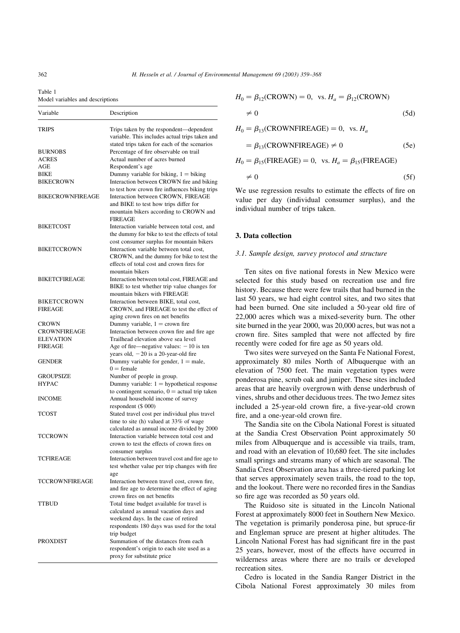| Variable                           | Description                                                                                                                               |  |  |
|------------------------------------|-------------------------------------------------------------------------------------------------------------------------------------------|--|--|
| <b>TRIPS</b>                       | Trips taken by the respondent—dependent<br>variable. This includes actual trips taken and                                                 |  |  |
| <b>BURNOBS</b>                     | stated trips taken for each of the scenarios<br>Percentage of fire observable on trail                                                    |  |  |
| <b>ACRES</b>                       | Actual number of acres burned                                                                                                             |  |  |
| AGE                                | Respondent's age                                                                                                                          |  |  |
| BIKE                               | Dummy variable for biking, $1 = \text{biking}$                                                                                            |  |  |
| <b>BIKECROWN</b>                   | Interaction between CROWN fire and biking                                                                                                 |  |  |
| <b>BIKECROWNFIREAGE</b>            | to test how crown fire influences biking trips<br>Interaction between CROWN, FIREAGE<br>and BIKE to test how trips differ for             |  |  |
|                                    | mountain bikers according to CROWN and<br><b>FIREAGE</b>                                                                                  |  |  |
| <b>BIKETCOST</b>                   | Interaction variable between total cost, and<br>the dummy for bike to test the effects of total                                           |  |  |
|                                    | cost consumer surplus for mountain bikers                                                                                                 |  |  |
| <b>BIKETCCROWN</b>                 | Interaction variable between total cost,<br>CROWN, and the dummy for bike to test the<br>effects of total cost and crown fires for        |  |  |
|                                    | mountain bikers                                                                                                                           |  |  |
| <b>BIKETCFIREAGE</b>               | Interaction between total cost, FIREAGE and<br>BIKE to test whether trip value changes for<br>mountain bikers with FIREAGE                |  |  |
| <b>BIKETCCROWN</b>                 | Interaction between BIKE, total cost,                                                                                                     |  |  |
| <b>FIREAGE</b>                     | CROWN, and FIREAGE to test the effect of<br>aging crown fires on net benefits                                                             |  |  |
| <b>CROWN</b>                       | Dummy variable, $1 =$ crown fire                                                                                                          |  |  |
| <b>CROWNFIREAGE</b>                | Interaction between crown fire and fire age                                                                                               |  |  |
| <b>ELEVATION</b><br><b>FIREAGE</b> | Trailhead elevation above sea level                                                                                                       |  |  |
|                                    | Age of fire—negative values: $-10$ is ten<br>years old, $-20$ is a 20-year-old fire                                                       |  |  |
| <b>GENDER</b>                      | Dummy variable for gender, $1 =$ male,<br>$0 =$ female                                                                                    |  |  |
| <b>GROUPSIZE</b>                   | Number of people in group.                                                                                                                |  |  |
| <b>HYPAC</b>                       | Dummy variable: $1 =$ hypothetical response                                                                                               |  |  |
| <b>INCOME</b>                      | to contingent scenario, $0 =$ actual trip taken<br>Annual household income of survey<br>respondent (\$ 000)                               |  |  |
| TCOST                              | Stated travel cost per individual plus travel<br>time to site (h) valued at 33% of wage                                                   |  |  |
| TCCROWN                            | calculated as annual income divided by 2000<br>Interaction variable between total cost and<br>crown to test the effects of crown fires on |  |  |
| <b>TCFIREAGE</b>                   | consumer surplus<br>Interaction between travel cost and fire age to                                                                       |  |  |
|                                    | test whether value per trip changes with fire                                                                                             |  |  |
| TCCROWNFIREAGE                     | age<br>Interaction between travel cost, crown fire,<br>and fire age to determine the effect of aging                                      |  |  |
|                                    | crown fires on net benefits                                                                                                               |  |  |
| <b>TTBUD</b>                       | Total time budget available for travel is<br>calculated as annual vacation days and<br>weekend days. In the case of retired               |  |  |
|                                    | respondents 180 days was used for the total<br>trip budget                                                                                |  |  |
| PROXDIST                           | Summation of the distances from each                                                                                                      |  |  |
|                                    | respondent's origin to each site used as a                                                                                                |  |  |
|                                    | proxy for substitute price                                                                                                                |  |  |

$$
H_0 = \beta_{12}(CROWN) = 0, \text{ vs. } H_a = \beta_{12}(CROWN)
$$
  

$$
\neq 0
$$
 (5d)

$$
H_0 = \beta_{13}(CROWNFIREAGE) = 0, \text{ vs. } H_a
$$
  
=  $\beta_{13}(CROWNFIREAGE) \neq 0$  (5e)

$$
H_0 = \beta_{15}(\text{FIREAGE}) = 0, \text{ vs. } H_a = \beta_{15}(\text{FIREAGE})
$$

$$
\neq 0 \tag{5f}
$$

We use regression results to estimate the effects of fire on value per day (individual consumer surplus), and the individual number of trips taken.

# 3. Data collection

# 3.1. Sample design, survey protocol and structure

Ten sites on five national forests in New Mexico were selected for this study based on recreation use and fire history. Because there were few trails that had burned in the last 50 years, we had eight control sites, and two sites that had been burned. One site included a 50-year old fire of 22,000 acres which was a mixed-severity burn. The other site burned in the year 2000, was 20,000 acres, but was not a crown fire. Sites sampled that were not affected by fire recently were coded for fire age as 50 years old.

Two sites were surveyed on the Santa Fe National Forest, approximately 80 miles North of Albuquerque with an elevation of 7500 feet. The main vegetation types were ponderosa pine, scrub oak and juniper. These sites included areas that are heavily overgrown with dense underbrush of vines, shrubs and other deciduous trees. The two Jemez sites included a 25-year-old crown fire, a five-year-old crown fire, and a one-year-old crown fire.

The Sandia site on the Cibola National Forest is situated at the Sandia Crest Observation Point approximately 50 miles from Albuquerque and is accessible via trails, tram, and road with an elevation of 10,680 feet. The site includes small springs and streams many of which are seasonal. The Sandia Crest Observation area has a three-tiered parking lot that serves approximately seven trails, the road to the top, and the lookout. There were no recorded fires in the Sandias so fire age was recorded as 50 years old.

The Ruidoso site is situated in the Lincoln National Forest at approximately 8000 feet in Southern New Mexico. The vegetation is primarily ponderosa pine, but spruce-fir and Engleman spruce are present at higher altitudes. The Lincoln National Forest has had significant fire in the past 25 years, however, most of the effects have occurred in wilderness areas where there are no trails or developed recreation sites.

Cedro is located in the Sandia Ranger District in the Cibola National Forest approximately 30 miles from

<span id="page-3-0"></span>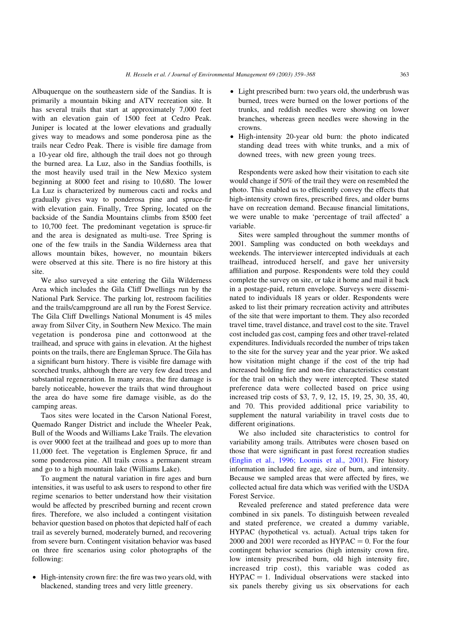Albuquerque on the southeastern side of the Sandias. It is primarily a mountain biking and ATV recreation site. It has several trails that start at approximately 7,000 feet with an elevation gain of 1500 feet at Cedro Peak. Juniper is located at the lower elevations and gradually gives way to meadows and some ponderosa pine as the trails near Cedro Peak. There is visible fire damage from a 10-year old fire, although the trail does not go through the burned area. La Luz, also in the Sandias foothills, is the most heavily used trail in the New Mexico system beginning at 8000 feet and rising to 10,680. The lower La Luz is characterized by numerous cacti and rocks and gradually gives way to ponderosa pine and spruce-fir with elevation gain. Finally, Tree Spring, located on the backside of the Sandia Mountains climbs from 8500 feet to 10,700 feet. The predominant vegetation is spruce-fir and the area is designated as multi-use. Tree Spring is one of the few trails in the Sandia Wilderness area that allows mountain bikes, however, no mountain bikers were observed at this site. There is no fire history at this site.

We also surveyed a site entering the Gila Wilderness Area which includes the Gila Cliff Dwellings run by the National Park Service. The parking lot, restroom facilities and the trails/campground are all run by the Forest Service. The Gila Cliff Dwellings National Monument is 45 miles away from Silver City, in Southern New Mexico. The main vegetation is ponderosa pine and cottonwood at the trailhead, and spruce with gains in elevation. At the highest points on the trails, there are Engleman Spruce. The Gila has a significant burn history. There is visible fire damage with scorched trunks, although there are very few dead trees and substantial regeneration. In many areas, the fire damage is barely noticeable, however the trails that wind throughout the area do have some fire damage visible, as do the camping areas.

Taos sites were located in the Carson National Forest, Quemado Ranger District and include the Wheeler Peak, Bull of the Woods and Williams Lake Trails. The elevation is over 9000 feet at the trailhead and goes up to more than 11,000 feet. The vegetation is Englemen Spruce, fir and some ponderosa pine. All trails cross a permanent stream and go to a high mountain lake (Williams Lake).

To augment the natural variation in fire ages and burn intensities, it was useful to ask users to respond to other fire regime scenarios to better understand how their visitation would be affected by prescribed burning and recent crown fires. Therefore, we also included a contingent visitation behavior question based on photos that depicted half of each trail as severely burned, moderately burned, and recovering from severe burn. Contingent visitation behavior was based on three fire scenarios using color photographs of the following:

• High-intensity crown fire: the fire was two years old, with blackened, standing trees and very little greenery.

- Light prescribed burn: two years old, the underbrush was burned, trees were burned on the lower portions of the trunks, and reddish needles were showing on lower branches, whereas green needles were showing in the crowns.
- † High-intensity 20-year old burn: the photo indicated standing dead trees with white trunks, and a mix of downed trees, with new green young trees.

Respondents were asked how their visitation to each site would change if 50% of the trail they were on resembled the photo. This enabled us to efficiently convey the effects that high-intensity crown fires, prescribed fires, and older burns have on recreation demand. Because financial limitations, we were unable to make 'percentage of trail affected' a variable.

Sites were sampled throughout the summer months of 2001. Sampling was conducted on both weekdays and weekends. The interviewer intercepted individuals at each trailhead, introduced herself, and gave her university affiliation and purpose. Respondents were told they could complete the survey on site, or take it home and mail it back in a postage-paid, return envelope. Surveys were disseminated to individuals 18 years or older. Respondents were asked to list their primary recreation activity and attributes of the site that were important to them. They also recorded travel time, travel distance, and travel cost to the site. Travel cost included gas cost, camping fees and other travel-related expenditures. Individuals recorded the number of trips taken to the site for the survey year and the year prior. We asked how visitation might change if the cost of the trip had increased holding fire and non-fire characteristics constant for the trail on which they were intercepted. These stated preference data were collected based on price using increased trip costs of \$3, 7, 9, 12, 15, 19, 25, 30, 35, 40, and 70. This provided additional price variability to supplement the natural variability in travel costs due to different originations.

We also included site characteristics to control for variability among trails. Attributes were chosen based on those that were significant in past forest recreation studies ([Englin et al., 1996; Loomis et al., 2001](#page-8-0)). Fire history information included fire age, size of burn, and intensity. Because we sampled areas that were affected by fires, we collected actual fire data which was verified with the USDA Forest Service.

Revealed preference and stated preference data were combined in six panels. To distinguish between revealed and stated preference, we created a dummy variable, HYPAC (hypothetical vs. actual). Actual trips taken for 2000 and 2001 were recorded as  $HYPAC = 0$ . For the four contingent behavior scenarios (high intensity crown fire, low intensity prescribed burn, old high intensity fire, increased trip cost), this variable was coded as  $HYPAC = 1.$  Individual observations were stacked into six panels thereby giving us six observations for each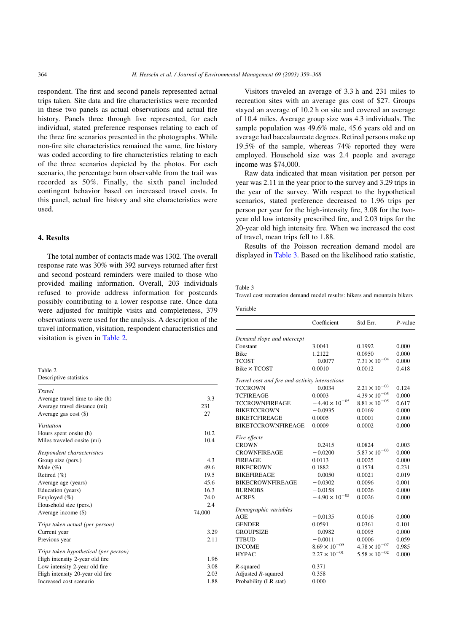<span id="page-5-0"></span>respondent. The first and second panels represented actual trips taken. Site data and fire characteristics were recorded in these two panels as actual observations and actual fire history. Panels three through five represented, for each individual, stated preference responses relating to each of the three fire scenarios presented in the photographs. While non-fire site characteristics remained the same, fire history was coded according to fire characteristics relating to each of the three scenarios depicted by the photos. For each scenario, the percentage burn observable from the trail was recorded as 50%. Finally, the sixth panel included contingent behavior based on increased travel costs. In this panel, actual fire history and site characteristics were used.

# 4. Results

The total number of contacts made was 1302. The overall response rate was 30% with 392 surveys returned after first and second postcard reminders were mailed to those who provided mailing information. Overall, 203 individuals refused to provide address information for postcards possibly contributing to a lower response rate. Once data were adjusted for multiple visits and completeness, 379 observations were used for the analysis. A description of the travel information, visitation, respondent characteristics and visitation is given in Table 2.

Table 2 Descriptive statistics

| Travel                                |        |
|---------------------------------------|--------|
| Average travel time to site (h)       | 3.3    |
| Average travel distance (mi)          | 231    |
| Average gas cost (\$)                 | 27     |
| <b>Visitation</b>                     |        |
| Hours spent onsite (h)                | 10.2   |
| Miles traveled onsite (mi)            | 10.4   |
| Respondent characteristics            |        |
| Group size (pers.)                    | 4.3    |
| Male $(\%)$                           | 49.6   |
| Retired $(\% )$                       | 19.5   |
| Average age (years)                   | 45.6   |
| Education (years)                     | 16.3   |
| Employed $(\% )$                      | 74.0   |
| Household size (pers.)                | 2.4    |
| Average income (\$)                   | 74,000 |
| Trips taken actual (per person)       |        |
| Current year                          | 3.29   |
| Previous year                         | 2.11   |
| Trips taken hypothetical (per person) |        |
| High intensity 2-year old fire.       | 1.96   |
| Low intensity 2-year old fire         | 3.08   |
| High intensity 20-year old fire.      | 2.03   |
| Increased cost scenario               | 1.88   |
|                                       |        |

Visitors traveled an average of 3.3 h and 231 miles to recreation sites with an average gas cost of \$27. Groups stayed an average of 10.2 h on site and covered an average of 10.4 miles. Average group size was 4.3 individuals. The sample population was 49.6% male, 45.6 years old and on average had baccalaureate degrees. Retired persons make up 19.5% of the sample, whereas 74% reported they were employed. Household size was 2.4 people and average income was \$74,000.

Raw data indicated that mean visitation per person per year was 2.11 in the year prior to the survey and 3.29 trips in the year of the survey. With respect to the hypothetical scenarios, stated preference decreased to 1.96 trips per person per year for the high-intensity fire, 3.08 for the twoyear old low intensity prescribed fire, and 2.03 trips for the 20-year old high intensity fire. When we increased the cost of travel, mean trips fell to 1.88.

Results of the Poisson recreation demand model are displayed in Table 3. Based on the likelihood ratio statistic,

#### Table 3

Travel cost recreation demand model results: hikers and mountain bikers

| Variable                                       |                         |                        |            |  |  |
|------------------------------------------------|-------------------------|------------------------|------------|--|--|
|                                                | Coefficient             | Std Err.               | $P$ -value |  |  |
| Demand slope and intercept                     |                         |                        |            |  |  |
| Constant                                       | 3.0041                  | 0.1992                 | 0.000      |  |  |
| <b>Bike</b>                                    | 1.2122                  | 0.0950                 | 0.000      |  |  |
| TCOST                                          | $-0.0077$               | $7.31 \times 10^{-04}$ | 0.000      |  |  |
| Bike × TCOST                                   | 0.0010                  | 0.0012                 | 0.418      |  |  |
| Travel cost and fire and activity interactions |                         |                        |            |  |  |
| <b>TCCROWN</b>                                 | $-0.0034$               | $2.21 \times 10^{-03}$ | 0.124      |  |  |
| TCFIREAGE                                      | 0.0003                  | $4.39 \times 10^{-05}$ | 0.000      |  |  |
| <b>TCCROWNFIREAGE</b>                          | $-4.40 \times 10^{-05}$ | $8.81 \times 10^{-05}$ | 0.617      |  |  |
| <b>BIKETCCROWN</b>                             | $-0.0935$               | 0.0169                 | 0.000      |  |  |
| <b>BIKETCFIREAGE</b>                           | 0.0005                  | 0.0001                 | 0.000      |  |  |
| <b>BIKETCCROWNFIREAGE</b>                      | 0.0009                  | 0.0002                 | 0.000      |  |  |
| Fire effects                                   |                         |                        |            |  |  |
| <b>CROWN</b>                                   | $-0.2415$               | 0.0824                 | 0.003      |  |  |
| <b>CROWNFIREAGE</b>                            | $-0.0200$               | $5.87 \times 10^{-03}$ | 0.000      |  |  |
| <b>FIREAGE</b>                                 | 0.0113                  | 0.0025                 | 0.000      |  |  |
| <b>BIKECROWN</b>                               | 0.1882                  | 0.1574                 | 0.231      |  |  |
| <b>BIKEFIREAGE</b>                             | $-0.0050$               | 0.0021                 | 0.019      |  |  |
| <b>BIKECROWNFIREAGE</b>                        | $-0.0302$               | 0.0096                 | 0.001      |  |  |
| <b>BURNOBS</b>                                 | $-0.0158$               | 0.0026                 | 0.000      |  |  |
| <b>ACRES</b>                                   | $-4.90 \times 10^{-05}$ | 0.0026                 | 0.000      |  |  |
| Demographic variables                          |                         |                        |            |  |  |
| <b>AGE</b>                                     | $-0.0135$               | 0.0016                 | 0.000      |  |  |
| <b>GENDER</b>                                  | 0.0591                  | 0.0361                 | 0.101      |  |  |
| <b>GROUPSIZE</b>                               | $-0.0982$               | 0.0095                 | 0.000      |  |  |
| <b>TTBUD</b>                                   | $-0.0011$               | 0.0006                 | 0.059      |  |  |
| <b>INCOME</b>                                  | $8.69 \times 10^{-09}$  | $4.78 \times 10^{-07}$ | 0.985      |  |  |
| <b>HYPAC</b>                                   | $2.27 \times 10^{-01}$  | $5.58 \times 10^{-02}$ | 0.000      |  |  |
| R-squared                                      | 0.371                   |                        |            |  |  |
| Adjusted $R$ -squared                          | 0.358                   |                        |            |  |  |
| Probability (LR stat)                          | 0.000                   |                        |            |  |  |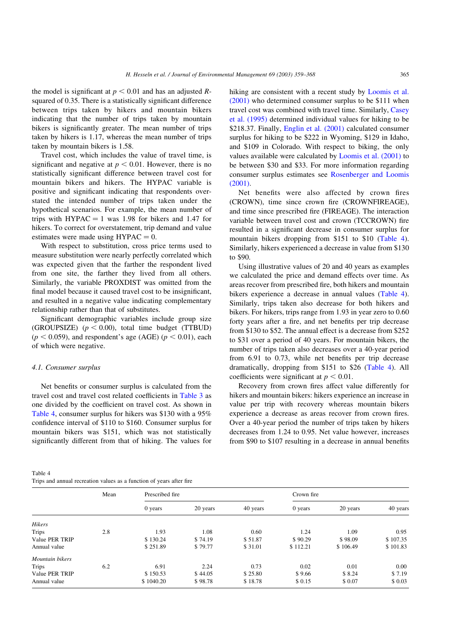<span id="page-6-0"></span>the model is significant at  $p < 0.01$  and has an adjusted Rsquared of 0.35. There is a statistically significant difference between trips taken by hikers and mountain bikers indicating that the number of trips taken by mountain bikers is significantly greater. The mean number of trips taken by hikers is 1.17, whereas the mean number of trips taken by mountain bikers is 1.58.

Travel cost, which includes the value of travel time, is significant and negative at  $p < 0.01$ . However, there is no statistically significant difference between travel cost for mountain bikers and hikers. The HYPAC variable is positive and significant indicating that respondents overstated the intended number of trips taken under the hypothetical scenarios. For example, the mean number of trips with  $HYPAC = 1$  was 1.98 for bikers and 1.47 for hikers. To correct for overstatement, trip demand and value estimates were made using  $HYPAC = 0$ .

With respect to substitution, cross price terms used to measure substitution were nearly perfectly correlated which was expected given that the farther the respondent lived from one site, the farther they lived from all others. Similarly, the variable PROXDIST was omitted from the final model because it caused travel cost to be insignificant, and resulted in a negative value indicating complementary relationship rather than that of substitutes.

Significant demographic variables include group size (GROUPSIZE)  $(p < 0.00)$ , total time budget (TTBUD)  $(p < 0.059)$ , and respondent's age (AGE)  $(p < 0.01)$ , each of which were negative.

# 4.1. Consumer surplus

Net benefits or consumer surplus is calculated from the travel cost and travel cost related coefficients in [Table 3](#page-5-0) as one divided by the coefficient on travel cost. As shown in Table 4, consumer surplus for hikers was \$130 with a 95% confidence interval of \$110 to \$160. Consumer surplus for mountain bikers was \$151, which was not statistically significantly different from that of hiking. The values for

Table 4  $T$  , and an investigation values as a function of  $\alpha$  function of  $\alpha$  hiking are consistent with a recent study by [Loomis et al.](#page-9-0) [\(2001\)](#page-9-0) who determined consumer surplus to be \$111 when travel cost was combined with travel time. Similarly, [Casey](#page-8-0) [et al. \(1995\)](#page-8-0) determined individual values for hiking to be \$218.37. Finally, *Englin et al.* (2001) calculated consumer surplus for hiking to be \$222 in Wyoming, \$129 in Idaho, and \$109 in Colorado. With respect to biking, the only values available were calculated by [Loomis et al. \(2001\)](#page-9-0) to be between \$30 and \$33. For more information regarding consumer surplus estimates see [Rosenberger and Loomis](#page-9-0) [\(2001\)](#page-9-0).

Net benefits were also affected by crown fires (CROWN), time since crown fire (CROWNFIREAGE), and time since prescribed fire (FIREAGE). The interaction variable between travel cost and crown (TCCROWN) fire resulted in a significant decrease in consumer surplus for mountain bikers dropping from \$151 to \$10 (Table 4). Similarly, hikers experienced a decrease in value from \$130 to \$90.

Using illustrative values of 20 and 40 years as examples we calculated the price and demand effects over time. As areas recover from prescribed fire, both hikers and mountain bikers experience a decrease in annual values (Table 4). Similarly, trips taken also decrease for both hikers and bikers. For hikers, trips range from 1.93 in year zero to 0.60 forty years after a fire, and net benefits per trip decrease from \$130 to \$52. The annual effect is a decrease from \$252 to \$31 over a period of 40 years. For mountain bikers, the number of trips taken also decreases over a 40-year period from 6.91 to 0.73, while net benefits per trip decrease dramatically, dropping from \$151 to \$26 (Table 4). All coefficients were significant at  $p < 0.01$ .

Recovery from crown fires affect value differently for hikers and mountain bikers: hikers experience an increase in value per trip with recovery whereas mountain bikers experience a decrease as areas recover from crown fires. Over a 40-year period the number of trips taken by hikers decreases from 1.24 to 0.95. Net value however, increases from \$90 to \$107 resulting in a decrease in annual benefits

| Trips and annual recreation values as a function of years after the |      |                 |          |          |            |          |          |
|---------------------------------------------------------------------|------|-----------------|----------|----------|------------|----------|----------|
|                                                                     | Mean | Prescribed fire |          |          | Crown fire |          |          |
|                                                                     |      | 0 years         | 20 years | 40 years | $0$ years  | 20 years | 40 years |
| <b>Hikers</b>                                                       |      |                 |          |          |            |          |          |
| Trips                                                               | 2.8  | 1.93            | 1.08     | 0.60     | 1.24       | 1.09     | 0.95     |
| Value PER TRIP                                                      |      | \$130.24        | \$74.19  | \$51.87  | \$90.29    | \$98.09  | \$107.35 |
| Annual value                                                        |      | \$251.89        | \$79.77  | \$31.01  | \$112.21   | \$106.49 | \$101.83 |
| Mountain bikers                                                     |      |                 |          |          |            |          |          |
| Trips                                                               | 6.2  | 6.91            | 2.24     | 0.73     | 0.02       | 0.01     | 0.00     |
| Value PER TRIP                                                      |      | \$150.53        | \$44.05  | \$25.80  | \$9.66     | \$8.24   | \$7.19   |
| Annual value                                                        |      | \$1040.20       | \$98.78  | \$18.78  | \$ 0.15    | \$ 0.07  | \$ 0.03  |
|                                                                     |      |                 |          |          |            |          |          |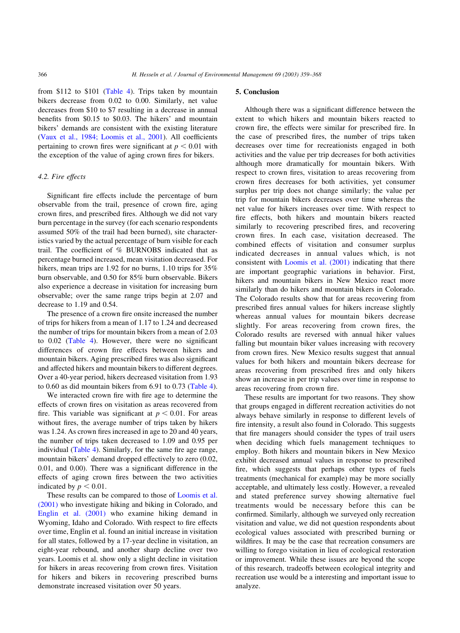from \$112 to \$101 ([Table 4\)](#page-6-0). Trips taken by mountain bikers decrease from 0.02 to 0.00. Similarly, net value decreases from \$10 to \$7 resulting in a decrease in annual benefits from \$0.15 to \$0.03. The hikers' and mountain bikers' demands are consistent with the existing literature ([Vaux et al., 1984; Loomis et al., 2001](#page-9-0)). All coefficients pertaining to crown fires were significant at  $p < 0.01$  with the exception of the value of aging crown fires for bikers.

# 4.2. Fire effects

Significant fire effects include the percentage of burn observable from the trail, presence of crown fire, aging crown fires, and prescribed fires. Although we did not vary burn percentage in the survey (for each scenario respondents assumed 50% of the trail had been burned), site characteristics varied by the actual percentage of burn visible for each trail. The coefficient of % BURNOBS indicated that as percentage burned increased, mean visitation decreased. For hikers, mean trips are 1.92 for no burns, 1.10 trips for 35% burn observable, and 0.50 for 85% burn observable. Bikers also experience a decrease in visitation for increasing burn observable; over the same range trips begin at 2.07 and decrease to 1.19 and 0.54.

The presence of a crown fire onsite increased the number of trips for hikers from a mean of 1.17 to 1.24 and decreased the number of trips for mountain bikers from a mean of 2.03 to 0.02 ([Table 4\)](#page-6-0). However, there were no significant differences of crown fire effects between hikers and mountain bikers. Aging prescribed fires was also significant and affected hikers and mountain bikers to different degrees. Over a 40-year period, hikers decreased visitation from 1.93 to 0.60 as did mountain bikers from 6.91 to 0.73 [\(Table 4\)](#page-6-0).

We interacted crown fire with fire age to determine the effects of crown fires on visitation as areas recovered from fire. This variable was significant at  $p < 0.01$ . For areas without fires, the average number of trips taken by hikers was 1.24. As crown fires increased in age to 20 and 40 years, the number of trips taken decreased to 1.09 and 0.95 per individual [\(Table 4](#page-6-0)). Similarly, for the same fire age range, mountain bikers' demand dropped effectively to zero (0.02, 0.01, and 0.00). There was a significant difference in the effects of aging crown fires between the two activities indicated by  $p < 0.01$ .

These results can be compared to those of [Loomis et al.](#page-9-0) [\(2001\)](#page-9-0) who investigate hiking and biking in Colorado, and [Englin et al. \(2001\)](#page-8-0) who examine hiking demand in Wyoming, Idaho and Colorado. With respect to fire effects over time, Englin et al. found an initial increase in visitation for all states, followed by a 17-year decline in visitation, an eight-year rebound, and another sharp decline over two years. Loomis et al. show only a slight decline in visitation for hikers in areas recovering from crown fires. Visitation for hikers and bikers in recovering prescribed burns demonstrate increased visitation over 50 years.

### 5. Conclusion

Although there was a significant difference between the extent to which hikers and mountain bikers reacted to crown fire, the effects were similar for prescribed fire. In the case of prescribed fires, the number of trips taken decreases over time for recreationists engaged in both activities and the value per trip decreases for both activities although more dramatically for mountain bikers. With respect to crown fires, visitation to areas recovering from crown fires decreases for both activities, yet consumer surplus per trip does not change similarly; the value per trip for mountain bikers decreases over time whereas the net value for hikers increases over time. With respect to fire effects, both hikers and mountain bikers reacted similarly to recovering prescribed fires, and recovering crown fires. In each case, visitation decreased. The combined effects of visitation and consumer surplus indicated decreases in annual values which, is not consistent with [Loomis et al. \(2001\)](#page-9-0) indicating that there are important geographic variations in behavior. First, hikers and mountain bikers in New Mexico react more similarly than do hikers and mountain bikers in Colorado. The Colorado results show that for areas recovering from prescribed fires annual values for hikers increase slightly whereas annual values for mountain bikers decrease slightly. For areas recovering from crown fires, the Colorado results are reversed with annual hiker values falling but mountain biker values increasing with recovery from crown fires. New Mexico results suggest that annual values for both hikers and mountain bikers decrease for areas recovering from prescribed fires and only hikers show an increase in per trip values over time in response to areas recovering from crown fire.

These results are important for two reasons. They show that groups engaged in different recreation activities do not always behave similarly in response to different levels of fire intensity, a result also found in Colorado. This suggests that fire managers should consider the types of trail users when deciding which fuels management techniques to employ. Both hikers and mountain bikers in New Mexico exhibit decreased annual values in response to prescribed fire, which suggests that perhaps other types of fuels treatments (mechanical for example) may be more socially acceptable, and ultimately less costly. However, a revealed and stated preference survey showing alternative fuel treatments would be necessary before this can be confirmed. Similarly, although we surveyed only recreation visitation and value, we did not question respondents about ecological values associated with prescribed burning or wildfires. It may be the case that recreation consumers are willing to forego visitation in lieu of ecological restoration or improvement. While these issues are beyond the scope of this research, tradeoffs between ecological integrity and recreation use would be a interesting and important issue to analyze.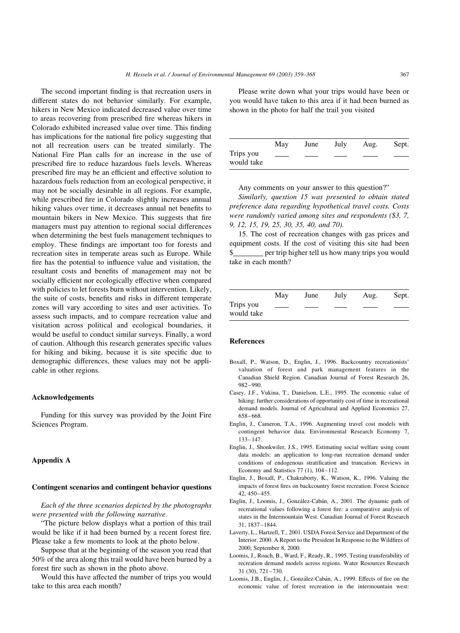<span id="page-8-0"></span>The second important finding is that recreation users in different states do not behavior similarly. For example, hikers in New Mexico indicated decreased value over time to areas recovering from prescribed fire whereas hikers in Colorado exhibited increased value over time. This finding has implications for the national fire policy suggesting that not all recreation users can be treated similarly. The National Fire Plan calls for an increase in the use of prescribed fire to reduce hazardous fuels levels. Whereas prescribed fire may be an efficient and effective solution to hazardous fuels reduction from an ecological perspective, it may not be socially desirable in all regions. For example, while prescribed fire in Colorado slightly increases annual hiking values over time, it decreases annual net benefits to mountain bikers in New Mexico. This suggests that fire managers must pay attention to regional social differences when determining the best fuels management techniques to employ. These findings are important too for forests and recreation sites in temperate areas such as Europe. While fire has the potential to influence value and visitation, the resultant costs and benefits of management may not be socially efficient nor ecologically effective when compared with policies to let forests burn without intervention. Likely, the suite of costs, benefits and risks in different temperate zones will vary according to sites and user activities. To assess such impacts, and to compare recreation value and visitation across political and ecological boundaries, it would be useful to conduct similar surveys. Finally, a word of caution. Although this research generates specific values for hiking and biking, because it is site specific due to demographic differences, these values may not be applicable in other regions.

### Acknowledgements

Funding for this survey was provided by the Joint Fire Sciences Program.

# Appendix A

# Contingent scenarios and contingent behavior questions

Each of the three scenarios depicted by the photographs were presented with the following narrative.

"The picture below displays what a portion of this trail would be like if it had been burned by a recent forest fire. Please take a few moments to look at the photo below.

Suppose that at the beginning of the season you read that 50% of the area along this trail would have been burned by a forest fire such as shown in the photo above.

Would this have affected the number of trips you would take to this area each month?

Please write down what your trips would have been or you would have taken to this area if it had been burned as shown in the photo for half the trail you visited

|                         | May | June | July | Aug. | Sept. |
|-------------------------|-----|------|------|------|-------|
| Trips you<br>would take |     |      |      |      |       |

Any comments on your answer to this question?"

Similarly, question 15 was presented to obtain stated preference data regarding hypothetical travel costs. Costs were randomly varied among sites and respondents (\$3, 7, 9, 12, 15, 19, 25, 30, 35, 40, and 70).

15. The cost of recreation changes with gas prices and equipment costs. If the cost of visiting this site had been \$ per trip higher tell us how many trips you would take in each month?

|                         | May | June | July | Aug. | Sept. |
|-------------------------|-----|------|------|------|-------|
| Trips you<br>would take |     |      |      |      |       |

# References

- Boxall, P., Watson, D., Englin, J., 1996. Backcountry recreationists' valuation of forest and park management features in the Canadian Shield Region. Canadian Journal of Forest Research 26, 982–990.
- Casey, J.F., Vukina, T., Danielson, L.E., 1995. The economic value of hiking: further considerations of opportunity cost of time in recreational demand models. Journal of Agricultural and Applied Economics 27, 658–668.
- Englin, J., Cameron, T.A., 1996. Augmenting travel cost models with contingent behavior data. Environmental Research Economy 7, 133–147.
- Englin, J., Shonkwiler, J.S., 1995. Estimating social welfare using count data models: an application to long-run recreation demand under conditions of endogenous stratification and truncation. Reviews in Economy and Statistics 77 (1), 104–112.
- Englin, J., Boxall, P., Chakraborty, K., Watson, K., 1996. Valuing the impacts of forest fires on backcountry forest recreation. Forest Science 42, 450–455.
- Englin, J., Loomis, J., González-Cabán, A., 2001. The dynamic path of recreational values following a forest fire: a comparative analysis of states in the Intermountain West. Canadian Journal of Forest Research 31, 1837–1844.
- Laverty, L., Hartzell, T., 2001. USDA Forest Service and Department of the Interior. 2000. A Report to the President In Response to the Wildfires of 2000, September 8, 2000.
- Loomis, J., Roach, B., Ward, F., Ready, R., 1995. Testing transferability of recreation demand models across regions. Water Resources Research 31 (30), 721–730.
- Loomis, J.B., Englin, J., González-Cabán, A., 1999. Effects of fire on the economic value of forest recreation in the intermountain west: